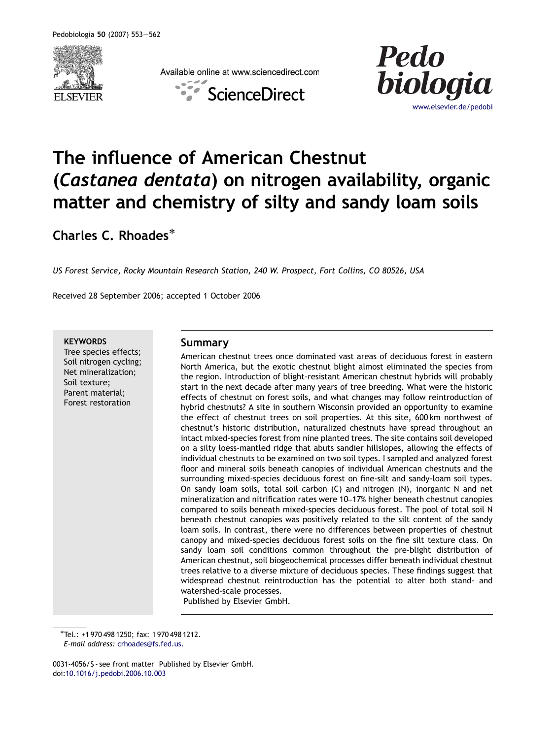

Available online at www.sciencedirect.com





# The influence of American Chestnut (Castanea dentata) on nitrogen availability, organic matter and chemistry of silty and sandy loam soils

Charles C. Rhoades<sup>\*</sup>

US Forest Service, Rocky Mountain Research Station, 240 W. Prospect, Fort Collins, CO 80526, USA

Received 28 September 2006; accepted 1 October 2006

**KEYWORDS** 

Tree species effects; Soil nitrogen cycling; Net mineralization; Soil texture; Parent material; Forest restoration

## Summary

American chestnut trees once dominated vast areas of deciduous forest in eastern North America, but the exotic chestnut blight almost eliminated the species from the region. Introduction of blight-resistant American chestnut hybrids will probably start in the next decade after many years of tree breeding. What were the historic effects of chestnut on forest soils, and what changes may follow reintroduction of hybrid chestnuts? A site in southern Wisconsin provided an opportunity to examine the effect of chestnut trees on soil properties. At this site, 600 km northwest of chestnut's historic distribution, naturalized chestnuts have spread throughout an intact mixed-species forest from nine planted trees. The site contains soil developed on a silty loess-mantled ridge that abuts sandier hillslopes, allowing the effects of individual chestnuts to be examined on two soil types. I sampled and analyzed forest floor and mineral soils beneath canopies of individual American chestnuts and the surrounding mixed-species deciduous forest on fine-silt and sandy-loam soil types. On sandy loam soils, total soil carbon (C) and nitrogen (N), inorganic N and net mineralization and nitrification rates were 10–17% higher beneath chestnut canopies compared to soils beneath mixed-species deciduous forest. The pool of total soil N beneath chestnut canopies was positively related to the silt content of the sandy loam soils. In contrast, there were no differences between properties of chestnut canopy and mixed-species deciduous forest soils on the fine silt texture class. On sandy loam soil conditions common throughout the pre-blight distribution of American chestnut, soil biogeochemical processes differ beneath individual chestnut trees relative to a diverse mixture of deciduous species. These findings suggest that widespread chestnut reintroduction has the potential to alter both stand- and watershed-scale processes.

Published by Elsevier GmbH.

-Tel.: +1 970 498 1250; fax: 1 970 498 1212.

0031-4056/\$ - see front matter Published by Elsevier GmbH. doi[:10.1016/j.pedobi.2006.10.003](dx.doi.org/10.1016/j.pedobi.2006.10.003)

E-mail address: [crhoades@fs.fed.us.](mailto:crhoades@fs.fed.us)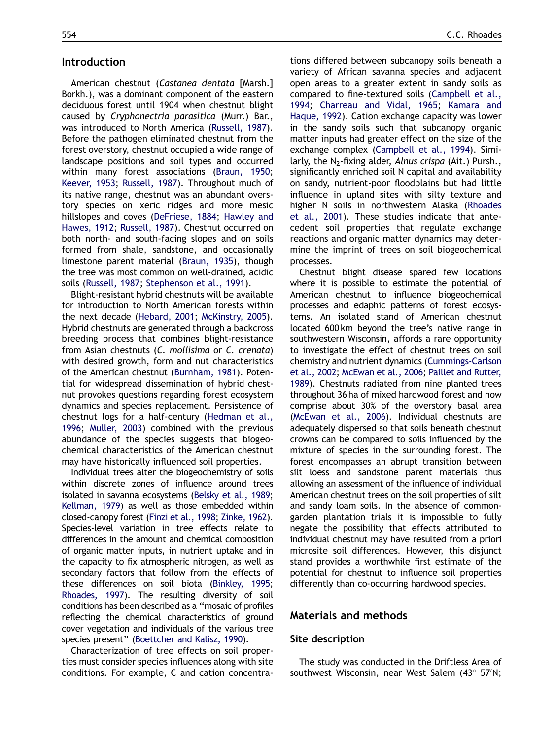## Introduction

American chestnut (Castanea dentata [Marsh.] Borkh.), was a dominant component of the eastern deciduous forest until 1904 when chestnut blight caused by Cryphonectria parasitica (Murr.) Bar., was introduced to North America [\(Russell, 1987](#page-9-0)). Before the pathogen eliminated chestnut from the forest overstory, chestnut occupied a wide range of landscape positions and soil types and occurred within many forest associations ([Braun, 1950;](#page-7-0) [Keever, 1953;](#page-8-0) [Russell, 1987](#page-9-0)). Throughout much of its native range, chestnut was an abundant overstory species on xeric ridges and more mesic hillslopes and coves [\(DeFriese, 1884](#page-8-0); [Hawley and](#page-8-0) [Hawes, 1912](#page-8-0); [Russell, 1987](#page-9-0)). Chestnut occurred on both north- and south-facing slopes and on soils formed from shale, sandstone, and occasionally limestone parent material ([Braun, 1935\)](#page-7-0), though the tree was most common on well-drained, acidic soils [\(Russell, 1987](#page-9-0); [Stephenson et al., 1991\)](#page-9-0).

Blight-resistant hybrid chestnuts will be available for introduction to North American forests within the next decade ([Hebard, 2001;](#page-8-0) [McKinstry, 2005](#page-8-0)). Hybrid chestnuts are generated through a backcross breeding process that combines blight-resistance from Asian chestnuts (C. mollisima or C. crenata) with desired growth, form and nut characteristics of the American chestnut [\(Burnham, 1981](#page-7-0)). Potential for widespread dissemination of hybrid chestnut provokes questions regarding forest ecosystem dynamics and species replacement. Persistence of chestnut logs for a half-century ([Hedman et al.,](#page-8-0) [1996](#page-8-0); [Muller, 2003\)](#page-8-0) combined with the previous abundance of the species suggests that biogeochemical characteristics of the American chestnut may have historically influenced soil properties.

Individual trees alter the biogeochemistry of soils within discrete zones of influence around trees isolated in savanna ecosystems [\(Belsky et al., 1989;](#page-7-0) [Kellman, 1979](#page-8-0)) as well as those embedded within closed-canopy forest [\(Finzi et al., 1998](#page-8-0); [Zinke, 1962](#page-9-0)). Species-level variation in tree effects relate to differences in the amount and chemical composition of organic matter inputs, in nutrient uptake and in the capacity to fix atmospheric nitrogen, as well as secondary factors that follow from the effects of these differences on soil biota ([Binkley, 1995;](#page-7-0) [Rhoades, 1997](#page-8-0)). The resulting diversity of soil conditions has been described as a ''mosaic of profiles reflecting the chemical characteristics of ground cover vegetation and individuals of the various tree species present'' [\(Boettcher and Kalisz, 1990](#page-7-0)).

Characterization of tree effects on soil properties must consider species influences along with site conditions. For example, C and cation concentrations differed between subcanopy soils beneath a variety of African savanna species and adjacent open areas to a greater extent in sandy soils as compared to fine-textured soils [\(Campbell et al.,](#page-7-0) [1994](#page-7-0); [Charreau and Vidal, 1965;](#page-7-0) [Kamara and](#page-8-0) [Haque, 1992\)](#page-8-0). Cation exchange capacity was lower in the sandy soils such that subcanopy organic matter inputs had greater effect on the size of the exchange complex [\(Campbell et al., 1994](#page-7-0)). Similarly, the N<sub>2</sub>-fixing alder, Alnus crispa (Ait.) Pursh., significantly enriched soil N capital and availability on sandy, nutrient-poor floodplains but had little influence in upland sites with silty texture and higher N soils in northwestern Alaska [\(Rhoades](#page-8-0) [et al., 2001](#page-8-0)). These studies indicate that antecedent soil properties that regulate exchange reactions and organic matter dynamics may determine the imprint of trees on soil biogeochemical processes.

Chestnut blight disease spared few locations where it is possible to estimate the potential of American chestnut to influence biogeochemical processes and edaphic patterns of forest ecosystems. An isolated stand of American chestnut located 600 km beyond the tree's native range in southwestern Wisconsin, affords a rare opportunity to investigate the effect of chestnut trees on soil chemistry and nutrient dynamics [\(Cummings-Carlson](#page-7-0) [et al., 2002](#page-7-0); [McEwan et al., 2006](#page-8-0); [Paillet and Rutter,](#page-8-0) [1989\)](#page-8-0). Chestnuts radiated from nine planted trees throughout 36 ha of mixed hardwood forest and now comprise about 30% of the overstory basal area [\(McEwan et al., 2006\)](#page-8-0). Individual chestnuts are adequately dispersed so that soils beneath chestnut crowns can be compared to soils influenced by the mixture of species in the surrounding forest. The forest encompasses an abrupt transition between silt loess and sandstone parent materials thus allowing an assessment of the influence of individual American chestnut trees on the soil properties of silt and sandy loam soils. In the absence of commongarden plantation trials it is impossible to fully negate the possibility that effects attributed to individual chestnut may have resulted from a priori microsite soil differences. However, this disjunct stand provides a worthwhile first estimate of the potential for chestnut to influence soil properties differently than co-occurring hardwood species.

#### Materials and methods

#### Site description

The study was conducted in the Driftless Area of southwest Wisconsin, near West Salem (43° 57'N;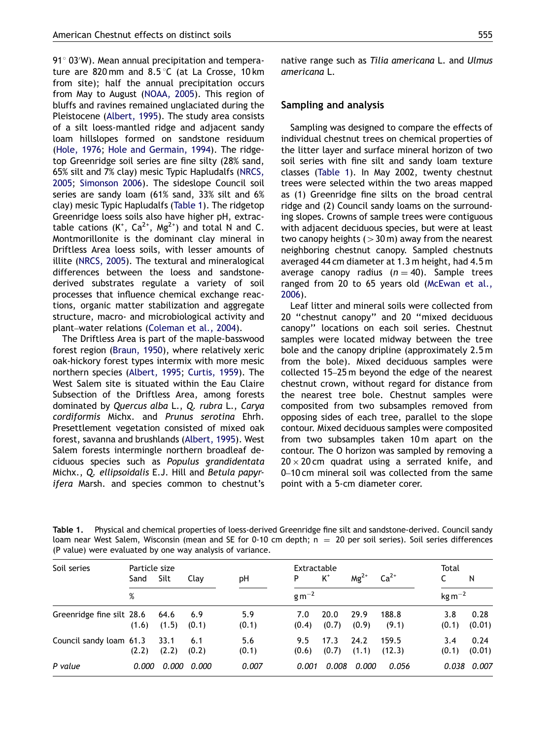<span id="page-2-0"></span>91 $^{\circ}$  03'W). Mean annual precipitation and temperature are 820 mm and  $8.5^{\circ}$ C (at La Crosse, 10 km from site); half the annual precipitation occurs from May to August [\(NOAA, 2005\)](#page-8-0). This region of bluffs and ravines remained unglaciated during the Pleistocene ([Albert, 1995\)](#page-7-0). The study area consists of a silt loess-mantled ridge and adjacent sandy loam hillslopes formed on sandstone residuum [\(Hole, 1976;](#page-8-0) [Hole and Germain, 1994](#page-8-0)). The ridgetop Greenridge soil series are fine silty (28% sand, 65% silt and 7% clay) mesic Typic Hapludalfs [\(NRCS,](#page-8-0) [2005](#page-8-0); [Simonson 2006\)](#page-9-0). The sideslope Council soil series are sandy loam (61% sand, 33% silt and 6% clay) mesic Typic Hapludalfs (Table 1). The ridgetop Greenridge loess soils also have higher pH, extractable cations  $(K^*, Ca^{2*}, Mg^{2*})$  and total N and C. Montmorillonite is the dominant clay mineral in Driftless Area loess soils, with lesser amounts of illite [\(NRCS, 2005\)](#page-8-0). The textural and mineralogical differences between the loess and sandstonederived substrates regulate a variety of soil processes that influence chemical exchange reactions, organic matter stabilization and aggregate structure, macro- and microbiological activity and plant–water relations ([Coleman et al., 2004](#page-7-0)).

The Driftless Area is part of the maple-basswood forest region [\(Braun, 1950\)](#page-7-0), where relatively xeric oak-hickory forest types intermix with more mesic northern species ([Albert, 1995](#page-7-0); [Curtis, 1959](#page-7-0)). The West Salem site is situated within the Eau Claire Subsection of the Driftless Area, among forests dominated by Quercus alba L., Q. rubra L., Carya cordiformis Michx. and Prunus serotina Ehrh. Presettlement vegetation consisted of mixed oak forest, savanna and brushlands [\(Albert, 1995\)](#page-7-0). West Salem forests intermingle northern broadleaf deciduous species such as Populus grandidentata Michx., Q. ellipsoidalis E.J. Hill and Betula papyrifera Marsh. and species common to chestnut's native range such as Tilia americana L. and Ulmus americana L.

#### Sampling and analysis

Sampling was designed to compare the effects of individual chestnut trees on chemical properties of the litter layer and surface mineral horizon of two soil series with fine silt and sandy loam texture classes (Table 1). In May 2002, twenty chestnut trees were selected within the two areas mapped as (1) Greenridge fine silts on the broad central ridge and (2) Council sandy loams on the surrounding slopes. Crowns of sample trees were contiguous with adjacent deciduous species, but were at least two canopy heights  $(>30 \,\mathrm{m})$  away from the nearest neighboring chestnut canopy. Sampled chestnuts averaged 44 cm diameter at 1.3 m height, had 4.5 m average canopy radius  $(n = 40)$ . Sample trees ranged from 20 to 65 years old ([McEwan et al.,](#page-8-0) [2006\)](#page-8-0).

Leaf litter and mineral soils were collected from 20 ''chestnut canopy'' and 20 ''mixed deciduous canopy'' locations on each soil series. Chestnut samples were located midway between the tree bole and the canopy dripline (approximately 2.5 m from the bole). Mixed deciduous samples were collected 15–25 m beyond the edge of the nearest chestnut crown, without regard for distance from the nearest tree bole. Chestnut samples were composited from two subsamples removed from opposing sides of each tree, parallel to the slope contour. Mixed deciduous samples were composited from two subsamples taken 10m apart on the contour. The O horizon was sampled by removing a  $20 \times 20$  cm quadrat using a serrated knife, and 0–10 cm mineral soil was collected from the same point with a 5-cm diameter corer.

| Soil series               | Particle size<br>Sand | Silt          | Clay         | рH           | Extractable<br>P | $K^+$         | $Mg^{2+}$     | $Ca2+$          | Total              | N              |
|---------------------------|-----------------------|---------------|--------------|--------------|------------------|---------------|---------------|-----------------|--------------------|----------------|
|                           | %                     |               |              |              | $gm^{-2}$        |               |               |                 | $\text{kg m}^{-2}$ |                |
| Greenridge fine silt 28.6 | (1.6)                 | 64.6<br>(1.5) | 6.9<br>(0.1) | 5.9<br>(0.1) | 7.0<br>(0.4)     | 20.0<br>(0.7) | 29.9<br>(0.9) | 188.8<br>(9.1)  | 3.8<br>(0.1)       | 0.28<br>(0.01) |
| Council sandy loam 61.3   | (2.2)                 | 33.1<br>(2.2) | 6.1<br>(0.2) | 5.6<br>(0.1) | 9.5<br>(0.6)     | 17.3<br>(0.7) | 24.2<br>(1.1) | 159.5<br>(12.3) | 3.4<br>(0.1)       | 0.24<br>(0.01) |
| P value                   | 0.000                 | 0.000         | 0.000        | 0.007        | 0.001            | 0.008         | 0.000         | 0.056           | 0.038              | 0.007          |

Table 1. Physical and chemical properties of loess-derived Greenridge fine silt and sandstone-derived. Council sandy loam near West Salem, Wisconsin (mean and SE for 0-10 cm depth;  $n = 20$  per soil series). Soil series differences (P value) were evaluated by one way analysis of variance.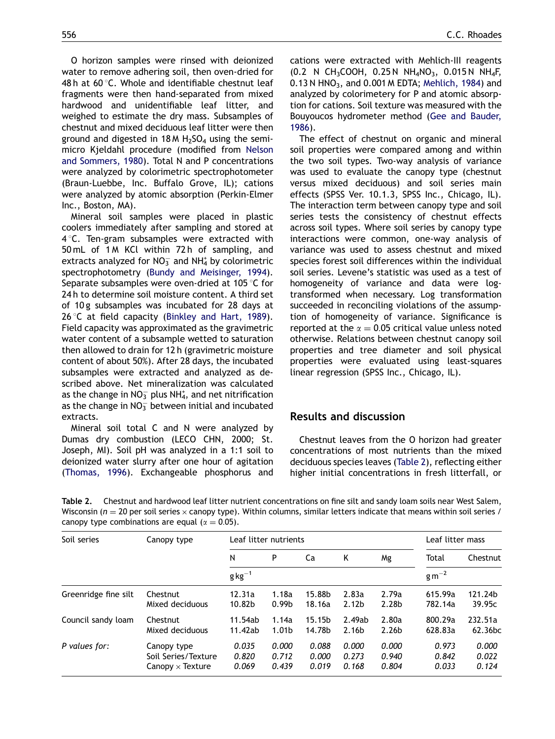<span id="page-3-0"></span>O horizon samples were rinsed with deionized water to remove adhering soil, then oven-dried for 48 h at 60 $\degree$ C. Whole and identifiable chestnut leaf fragments were then hand-separated from mixed hardwood and unidentifiable leaf litter, and weighed to estimate the dry mass. Subsamples of chestnut and mixed deciduous leaf litter were then ground and digested in  $18 M H<sub>2</sub>SO<sub>4</sub>$  using the semimicro Kjeldahl procedure (modified from [Nelson](#page-8-0) [and Sommers, 1980](#page-8-0)). Total N and P concentrations were analyzed by colorimetric spectrophotometer (Braun-Luebbe, Inc. Buffalo Grove, IL); cations were analyzed by atomic absorption (Perkin-Elmer Inc., Boston, MA).

Mineral soil samples were placed in plastic coolers immediately after sampling and stored at  $4^{\circ}$ C. Ten-gram subsamples were extracted with 50 mL of 1 M KCl within 72 h of sampling, and extracts analyzed for  $NO_3^-$  and  $NH_4^+$  by colorimetric spectrophotometry ([Bundy and Meisinger, 1994](#page-7-0)). Separate subsamples were oven-dried at 105 $\degree$ C for 24 h to determine soil moisture content. A third set of 10 g subsamples was incubated for 28 days at  $26^{\circ}$ C at field capacity ([Binkley and Hart, 1989](#page-7-0)). Field capacity was approximated as the gravimetric water content of a subsample wetted to saturation then allowed to drain for 12 h (gravimetric moisture content of about 50%). After 28 days, the incubated subsamples were extracted and analyzed as described above. Net mineralization was calculated as the change in NO $_3^-$  plus NH $_4^\ast$ , and net nitrification as the change in  $NO_3^-$  between initial and incubated extracts.

Mineral soil total C and N were analyzed by Dumas dry combustion (LECO CHN, 2000; St. Joseph, MI). Soil pH was analyzed in a 1:1 soil to deionized water slurry after one hour of agitation ([Thomas, 1996](#page-9-0)). Exchangeable phosphorus and cations were extracted with Mehlich-III reagents (0.2 N CH<sub>3</sub>COOH, 0.25 N NH<sub>4</sub>NO<sub>3</sub>, 0.015 N NH<sub>4</sub>F, 0.13 N HNO<sub>3</sub>, and 0.001 M EDTA; [Mehlich, 1984\)](#page-8-0) and analyzed by colorimetery for P and atomic absorption for cations. Soil texture was measured with the Bouyoucos hydrometer method ([Gee and Bauder,](#page-8-0) [1986](#page-8-0)).

The effect of chestnut on organic and mineral soil properties were compared among and within the two soil types. Two-way analysis of variance was used to evaluate the canopy type (chestnut versus mixed deciduous) and soil series main effects (SPSS Ver. 10.1.3, SPSS Inc., Chicago, IL). The interaction term between canopy type and soil series tests the consistency of chestnut effects across soil types. Where soil series by canopy type interactions were common, one-way analysis of variance was used to assess chestnut and mixed species forest soil differences within the individual soil series. Levene's statistic was used as a test of homogeneity of variance and data were logtransformed when necessary. Log transformation succeeded in reconciling violations of the assumption of homogeneity of variance. Significance is reported at the  $\alpha = 0.05$  critical value unless noted otherwise. Relations between chestnut canopy soil properties and tree diameter and soil physical properties were evaluated using least-squares linear regression (SPSS Inc., Chicago, IL).

## Results and discussion

Chestnut leaves from the O horizon had greater concentrations of most nutrients than the mixed deciduous species leaves (Table 2), reflecting either higher initial concentrations in fresh litterfall, or

Table 2. Chestnut and hardwood leaf litter nutrient concentrations on fine silt and sandy loam soils near West Salem, Wisconsin ( $n=20$  per soil series  $\times$  canopy type). Within columns, similar letters indicate that means within soil series / canopy type combinations are equal ( $\alpha = 0.05$ ).

| Soil series          | Canopy type             | Leaf litter nutrients |                   |        |                   |                   | Leaf litter mass |                     |
|----------------------|-------------------------|-----------------------|-------------------|--------|-------------------|-------------------|------------------|---------------------|
|                      |                         | Ν                     | P                 | Ca     | K                 | Mg                | Total            | Chestnut            |
|                      |                         | $g\text{kg}^{-1}$     |                   |        |                   |                   | $gm^{-2}$        |                     |
| Greenridge fine silt | Chestnut                | 12.31a                | 1.18a             | 15.88b | 2.83a             | 2.79a             | 615.99a          | 121.24b             |
|                      | Mixed deciduous         | 10.82b                | 0.99 <sub>b</sub> | 18.16a | 2.12 <sub>b</sub> | 2.28b             | 782.14a          | 39.95c              |
| Council sandy loam   | Chestnut                | 11.54ab               | 1.14a             | 15.15b | 2.49ab            | 2.80a             | 800.29a          | 232.51a             |
|                      | Mixed deciduous         | 11.42ab               | 1.01 <sub>b</sub> | 14.78b | 2.16 <sub>b</sub> | 2.26 <sub>b</sub> | 628.83a          | 62.36 <sub>bc</sub> |
| P values for:        | Canopy type             | 0.035                 | 0.000             | 0.088  | 0.000             | 0.000             | 0.973            | 0.000               |
|                      | Soil Series/Texture     | 0.820                 | 0.712             | 0.000  | 0.273             | 0.940             | 0.842            | 0.022               |
|                      | Canopy $\times$ Texture | 0.069                 | 0.439             | 0.019  | 0.168             | 0.804             | 0.033            | 0.124               |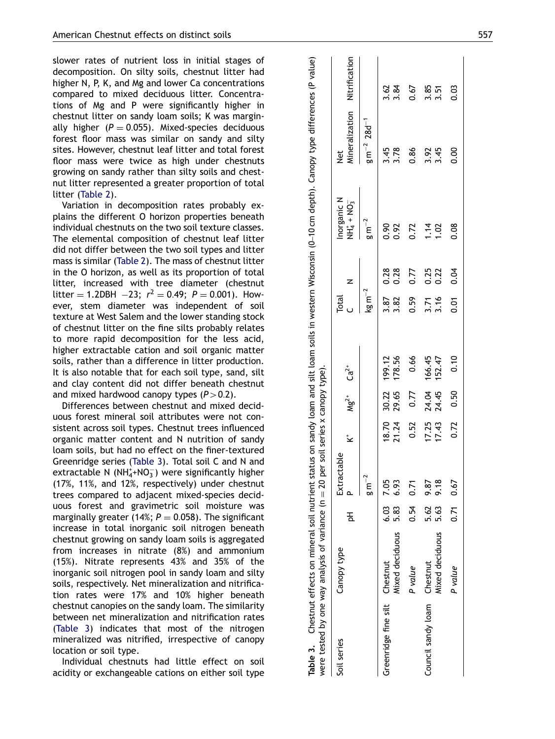<span id="page-4-0"></span>slower rates of nutrient loss in initial stages of decomposition. On silty soils, chestnut litter had higher N, P, K, and Mg and lower Ca concentrations compared to mixed deciduous litter. Concentrations of Mg and P were significantly higher in chestnut litter on sandy loam soils; K was marginally higher ( $P = 0.055$ ). Mixed-species deciduous forest floor mass was similar on sandy and silty sites. However, chestnut leaf litter and total forest floor mass were twice as high under chestnuts growing on sandy rather than silty soils and chestnut litter represented a greater proportion of total litter ([Table 2\)](#page-3-0).

Variation in decomposition rates probably explains the different O horizon properties beneath individual chestnuts on the two soil texture classes. The elemental composition of chestnut leaf litter did not differ between the two soil types and litter mass is similar [\(Table 2\)](#page-3-0). The mass of chestnut litter in the O horizon, as well as its proportion of total litter, increased with tree diameter (chestnut litter = 1.2DBH -23;  $r^2 = 0.49$ ;  $P = 0.001$ ). However, stem diameter was independent of soil texture at West Salem and the lower standing stock of chestnut litter on the fine silts probably relates to more rapid decomposition for the less acid, higher extractable cation and soil organic matter soils, rather than a difference in litter production. It is also notable that for each soil type, sand, silt and clay content did not differ beneath chestnut and mixed hardwood canopy types  $(P>0.2)$ .

Differences between chestnut and mixed deciduous forest mineral soil attributes were not consistent across soil types. Chestnut trees influenced organic matter content and N nutrition of sandy loam soils, but had no effect on the finer-textured Greenridge series (Table 3). Total soil C and N and extractable N (NH $_4^+$ +NO $_3^-$ ) were significantly higher (17%, 11%, and 12%, respectively) under chestnut trees compared to adjacent mixed-species deciduous forest and gravimetric soil moisture was marginally greater (14%;  $P = 0.058$ ). The significant increase in total inorganic soil nitrogen beneath chestnut growing on sandy loam soils is aggregated from increases in nitrate (8%) and ammonium (15%). Nitrate represents 43% and 35% of the inorganic soil nitrogen pool in sandy loam and silty soils, respectively. Net mineralization and nitrification rates were 17% and 10% higher beneath chestnut canopies on the sandy loam. The similarity between net mineralization and nitrification rates (Table 3) indicates that most of the nitrogen mineralized was nitrified, irrespective of canopy location or soil type.

Individual chestnuts had little effect on soil acidity or exchangeable cations on either soil type

| were tested by one way analysis of variance ( $n = 20$ per soil series x canopy type). |                        |      |               |        |                            |        |                    |              |                             | Table 3. Chestnut effects on mineral soil nutrient status on sandy loam and silt loam soils in western Wisconsin (0-10 cm depth). Canopy type differences (P value) |              |
|----------------------------------------------------------------------------------------|------------------------|------|---------------|--------|----------------------------|--------|--------------------|--------------|-----------------------------|---------------------------------------------------------------------------------------------------------------------------------------------------------------------|--------------|
| Soil series                                                                            | Canopy type            | 공    | Extractable   | .<br>ک | $Mg^{2+}$ Ca <sup>2+</sup> |        | <b>Total</b>       | Z            | Inorganic N<br>$NH4+ + NO3$ | Mineralization Nitrification<br><b>by</b>                                                                                                                           |              |
|                                                                                        |                        |      | $gm^{-2}$     |        |                            |        | $\text{kg m}^{-2}$ |              | $gm^{-2}$                   | $g\,m^{-2}$ 28d <sup>-1</sup>                                                                                                                                       |              |
| Greenridge fine silt Chestnut                                                          |                        |      | 6.03 7.05     | 18.70  | 30.22<br>29.65             | 199.12 | 3.87               | 0.28<br>0.28 | 0.92                        | 3.78<br>3.78                                                                                                                                                        | 3.84<br>3.84 |
|                                                                                        | Mixed deciduous        | 5.83 | 6.93          |        |                            | 178.56 | 3.82               |              |                             |                                                                                                                                                                     |              |
|                                                                                        | P value                | 0.54 | 0.71          | 0.52   | 0.77                       | 0.66   | 0.59               | 0.77         | 0.72                        | 0.86                                                                                                                                                                | 0.67         |
| Council sandy loam Chestnut                                                            |                        | 5.62 | 9.87          | 17.25  | 24.04                      | 166.45 | 3.71<br>3.16       | 0.25<br>0.22 | 1.02                        | 3.45<br>3.45                                                                                                                                                        | 3.85<br>3.51 |
|                                                                                        | <b>Mixed deciduous</b> | 5.63 | 9.18          | 17.43  | 24.45                      | 152.47 |                    |              |                             |                                                                                                                                                                     |              |
|                                                                                        | P value                |      | $0.71$ $0.67$ |        | $0.72$ $0.50$              | 0.10   | δ.                 | 0.04         | 0.08                        | 0.00                                                                                                                                                                | 0.03         |

 $\overline{\phantom{a}}$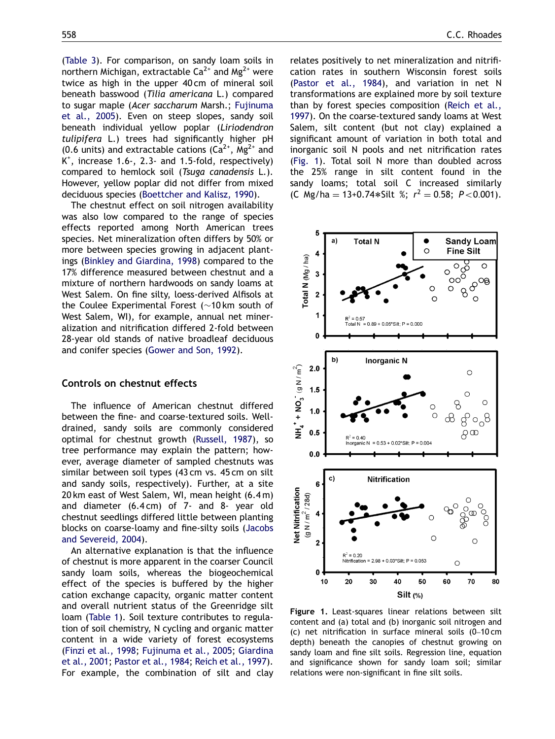([Table 3](#page-4-0)). For comparison, on sandy loam soils in northern Michigan, extractable  $Ca^{2+}$  and  $Mg^{2+}$  were twice as high in the upper 40 cm of mineral soil beneath basswood (Tilia americana L.) compared to sugar maple (Acer saccharum Marsh.; [Fujinuma](#page-8-0) [et al., 2005\)](#page-8-0). Even on steep slopes, sandy soil beneath individual yellow poplar (Liriodendron tulipifera L.) trees had significantly higher pH (0.6 units) and extractable cations  $(Ca^{2+}$ , Mg<sup>2+</sup> and K+ , increase 1.6-, 2.3- and 1.5-fold, respectively) compared to hemlock soil (Tsuga canadensis L.). However, yellow poplar did not differ from mixed deciduous species ([Boettcher and Kalisz, 1990](#page-7-0)).

The chestnut effect on soil nitrogen availability was also low compared to the range of species effects reported among North American trees species. Net mineralization often differs by 50% or more between species growing in adjacent plantings ([Binkley and Giardina, 1998](#page-7-0)) compared to the 17% difference measured between chestnut and a mixture of northern hardwoods on sandy loams at West Salem. On fine silty, loess-derived Alfisols at the Coulee Experimental Forest  $($  ~10 km south of West Salem, WI), for example, annual net mineralization and nitrification differed 2-fold between 28-year old stands of native broadleaf deciduous and conifer species [\(Gower and Son, 1992\)](#page-8-0).

#### Controls on chestnut effects

The influence of American chestnut differed between the fine- and coarse-textured soils. Welldrained, sandy soils are commonly considered optimal for chestnut growth [\(Russell, 1987\)](#page-9-0), so tree performance may explain the pattern; however, average diameter of sampled chestnuts was similar between soil types (43 cm vs. 45 cm on silt and sandy soils, respectively). Further, at a site 20 km east of West Salem, WI, mean height (6.4 m) and diameter (6.4 cm) of 7- and 8- year old chestnut seedlings differed little between planting blocks on coarse-loamy and fine-silty soils ([Jacobs](#page-8-0) [and Severeid, 2004\)](#page-8-0).

An alternative explanation is that the influence of chestnut is more apparent in the coarser Council sandy loam soils, whereas the biogeochemical effect of the species is buffered by the higher cation exchange capacity, organic matter content and overall nutrient status of the Greenridge silt loam [\(Table 1\)](#page-2-0). Soil texture contributes to regulation of soil chemistry, N cycling and organic matter content in a wide variety of forest ecosystems ([Finzi et al., 1998;](#page-8-0) [Fujinuma et al., 2005](#page-8-0); [Giardina](#page-8-0) [et al., 2001;](#page-8-0) [Pastor et al., 1984](#page-8-0); [Reich et al., 1997](#page-8-0)). For example, the combination of silt and clay relates positively to net mineralization and nitrification rates in southern Wisconsin forest soils [\(Pastor et al., 1984\)](#page-8-0), and variation in net N transformations are explained more by soil texture than by forest species composition [\(Reich et al.,](#page-8-0) [1997](#page-8-0)). On the coarse-textured sandy loams at West Salem, silt content (but not clay) explained a significant amount of variation in both total and inorganic soil N pools and net nitrification rates (Fig. 1). Total soil N more than doubled across the 25% range in silt content found in the sandy loams; total soil C increased similarly (C Mg/ha = 13+0.74\*Silt %;  $r^2 = 0.58$ ; P<0.001).



Figure 1. Least-squares linear relations between silt content and (a) total and (b) inorganic soil nitrogen and (c) net nitrification in surface mineral soils (0–10 cm depth) beneath the canopies of chestnut growing on sandy loam and fine silt soils. Regression line, equation and significance shown for sandy loam soil; similar relations were non-significant in fine silt soils.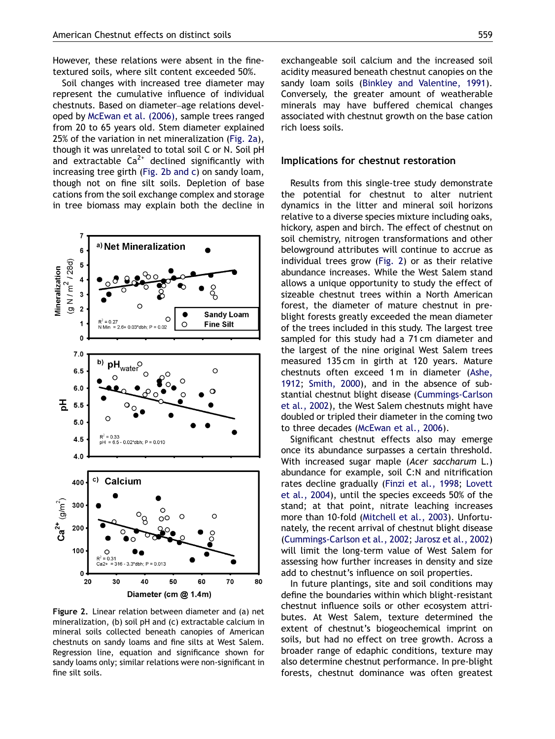However, these relations were absent in the finetextured soils, where silt content exceeded 50%.

Soil changes with increased tree diameter may represent the cumulative influence of individual chestnuts. Based on diameter–age relations developed by [McEwan et al. \(2006\),](#page-8-0) sample trees ranged from 20 to 65 years old. Stem diameter explained 25% of the variation in net mineralization (Fig. 2a), though it was unrelated to total soil C or N. Soil pH and extractable  $Ca^{2+}$  declined significantly with increasing tree girth (Fig. 2b and c) on sandy loam, though not on fine silt soils. Depletion of base cations from the soil exchange complex and storage in tree biomass may explain both the decline in



Figure 2. Linear relation between diameter and (a) net mineralization, (b) soil pH and (c) extractable calcium in mineral soils collected beneath canopies of American chestnuts on sandy loams and fine silts at West Salem. Regression line, equation and significance shown for sandy loams only; similar relations were non-significant in fine silt soils.

exchangeable soil calcium and the increased soil acidity measured beneath chestnut canopies on the sandy loam soils [\(Binkley and Valentine, 1991\)](#page-7-0). Conversely, the greater amount of weatherable minerals may have buffered chemical changes associated with chestnut growth on the base cation rich loess soils.

#### Implications for chestnut restoration

Results from this single-tree study demonstrate the potential for chestnut to alter nutrient dynamics in the litter and mineral soil horizons relative to a diverse species mixture including oaks, hickory, aspen and birch. The effect of chestnut on soil chemistry, nitrogen transformations and other belowground attributes will continue to accrue as individual trees grow (Fig. 2) or as their relative abundance increases. While the West Salem stand allows a unique opportunity to study the effect of sizeable chestnut trees within a North American forest, the diameter of mature chestnut in preblight forests greatly exceeded the mean diameter of the trees included in this study. The largest tree sampled for this study had a 71 cm diameter and the largest of the nine original West Salem trees measured 135 cm in girth at 120 years. Mature chestnuts often exceed 1 m in diameter ([Ashe,](#page-7-0) [1912;](#page-7-0) [Smith, 2000\)](#page-9-0), and in the absence of substantial chestnut blight disease ([Cummings-Carlson](#page-7-0) [et al., 2002](#page-7-0)), the West Salem chestnuts might have doubled or tripled their diameter in the coming two to three decades ([McEwan et al., 2006](#page-8-0)).

Significant chestnut effects also may emerge once its abundance surpasses a certain threshold. With increased sugar maple (Acer saccharum L.) abundance for example, soil C:N and nitrification rates decline gradually ([Finzi et al., 1998;](#page-8-0) [Lovett](#page-8-0) [et al., 2004](#page-8-0)), until the species exceeds 50% of the stand; at that point, nitrate leaching increases more than 10-fold ([Mitchell et al., 2003\)](#page-8-0). Unfortunately, the recent arrival of chestnut blight disease [\(Cummings-Carlson et al., 2002](#page-7-0); [Jarosz et al., 2002](#page-8-0)) will limit the long-term value of West Salem for assessing how further increases in density and size add to chestnut's influence on soil properties.

In future plantings, site and soil conditions may define the boundaries within which blight-resistant chestnut influence soils or other ecosystem attributes. At West Salem, texture determined the extent of chestnut's biogeochemical imprint on soils, but had no effect on tree growth. Across a broader range of edaphic conditions, texture may also determine chestnut performance. In pre-blight forests, chestnut dominance was often greatest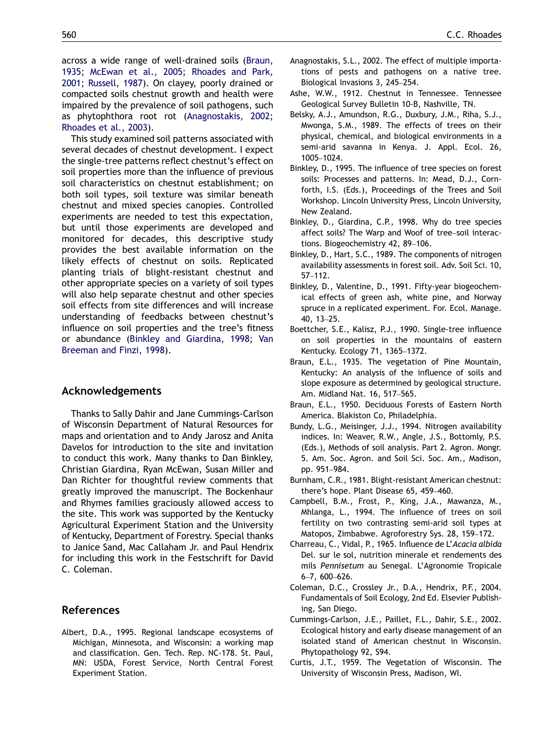<span id="page-7-0"></span>across a wide range of well-drained soils (Braun, 1935; [McEwan et al., 2005](#page-8-0); [Rhoades and Park,](#page-8-0) [2001](#page-8-0); [Russell, 1987](#page-9-0)). On clayey, poorly drained or compacted soils chestnut growth and health were impaired by the prevalence of soil pathogens, such as phytophthora root rot (Anagnostakis, 2002; [Rhoades et al., 2003](#page-8-0)).

This study examined soil patterns associated with several decades of chestnut development. I expect the single-tree patterns reflect chestnut's effect on soil properties more than the influence of previous soil characteristics on chestnut establishment; on both soil types, soil texture was similar beneath chestnut and mixed species canopies. Controlled experiments are needed to test this expectation, but until those experiments are developed and monitored for decades, this descriptive study provides the best available information on the likely effects of chestnut on soils. Replicated planting trials of blight-resistant chestnut and other appropriate species on a variety of soil types will also help separate chestnut and other species soil effects from site differences and will increase understanding of feedbacks between chestnut's influence on soil properties and the tree's fitness or abundance (Binkley and Giardina, 1998; [Van](#page-9-0) [Breeman and Finzi, 1998\)](#page-9-0).

## Acknowledgements

Thanks to Sally Dahir and Jane Cummings-Carlson of Wisconsin Department of Natural Resources for maps and orientation and to Andy Jarosz and Anita Davelos for introduction to the site and invitation to conduct this work. Many thanks to Dan Binkley, Christian Giardina, Ryan McEwan, Susan Miller and Dan Richter for thoughtful review comments that greatly improved the manuscript. The Bockenhaur and Rhymes families graciously allowed access to the site. This work was supported by the Kentucky Agricultural Experiment Station and the University of Kentucky, Department of Forestry. Special thanks to Janice Sand, Mac Callaham Jr. and Paul Hendrix for including this work in the Festschrift for David C. Coleman.

## References

Albert, D.A., 1995. Regional landscape ecosystems of Michigan, Minnesota, and Wisconsin: a working map and classification. Gen. Tech. Rep. NC-178. St. Paul, MN: USDA, Forest Service, North Central Forest Experiment Station.

- Anagnostakis, S.L., 2002. The effect of multiple importations of pests and pathogens on a native tree. Biological Invasions 3, 245–254.
- Ashe, W.W., 1912. Chestnut in Tennessee. Tennessee Geological Survey Bulletin 10-B, Nashville, TN.
- Belsky, A.J., Amundson, R.G., Duxbury, J.M., Riha, S.J., Mwonga, S.M., 1989. The effects of trees on their physical, chemical, and biological environments in a semi-arid savanna in Kenya. J. Appl. Ecol. 26, 1005–1024.
- Binkley, D., 1995. The influence of tree species on forest soils: Processes and patterns. In: Mead, D.J., Cornforth, I.S. (Eds.), Proceedings of the Trees and Soil Workshop. Lincoln University Press, Lincoln University, New Zealand.
- Binkley, D., Giardina, C.P., 1998. Why do tree species affect soils? The Warp and Woof of tree–soil interactions. Biogeochemistry 42, 89–106.
- Binkley, D., Hart, S.C., 1989. The components of nitrogen availability assessments in forest soil. Adv. Soil Sci. 10, 57–112.
- Binkley, D., Valentine, D., 1991. Fifty-year biogeochemical effects of green ash, white pine, and Norway spruce in a replicated experiment. For. Ecol. Manage. 40, 13–25.
- Boettcher, S.E., Kalisz, P.J., 1990. Single-tree influence on soil properties in the mountains of eastern Kentucky. Ecology 71, 1365–1372.
- Braun, E.L., 1935. The vegetation of Pine Mountain, Kentucky: An analysis of the influence of soils and slope exposure as determined by geological structure. Am. Midland Nat. 16, 517–565.
- Braun, E.L., 1950. Deciduous Forests of Eastern North America. Blakiston Co, Philadelphia.
- Bundy, L.G., Meisinger, J.J., 1994. Nitrogen availability indices. In: Weaver, R.W., Angle, J.S., Bottomly, P.S. (Eds.), Methods of soil analysis. Part 2. Agron. Mongr. 5. Am. Soc. Agron. and Soil Sci. Soc. Am., Madison, pp. 951–984.
- Burnham, C.R., 1981. Blight-resistant American chestnut: there's hope. Plant Disease 65, 459–460.
- Campbell, B.M., Frost, P., King, J.A., Mawanza, M., Mhlanga, L., 1994. The influence of trees on soil fertility on two contrasting semi-arid soil types at Matopos, Zimbabwe. Agroforestry Sys. 28, 159–172.
- Charreau, C., Vidal, P., 1965. Influence de L'Acacia albida Del. sur le sol, nutrition minerale et rendements des mils Pennisetum au Senegal. L'Agronomie Tropicale 6–7, 600–626.
- Coleman, D.C., Crossley Jr., D.A., Hendrix, P.F., 2004. Fundamentals of Soil Ecology, 2nd Ed. Elsevier Publishing, San Diego.
- Cummings-Carlson, J.E., Paillet, F.L., Dahir, S.E., 2002. Ecological history and early disease management of an isolated stand of American chestnut in Wisconsin. Phytopathology 92, S94.
- Curtis, J.T., 1959. The Vegetation of Wisconsin. The University of Wisconsin Press, Madison, WI.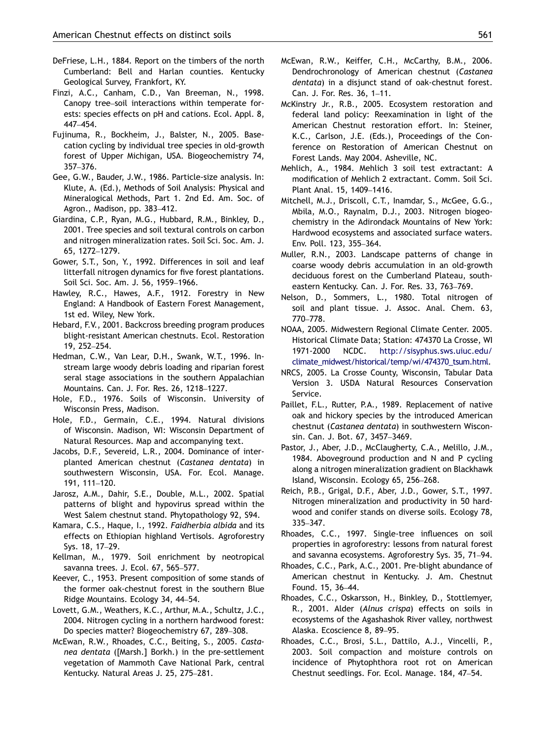- <span id="page-8-0"></span>DeFriese, L.H., 1884. Report on the timbers of the north Cumberland: Bell and Harlan counties. Kentucky Geological Survey, Frankfort, KY.
- Finzi, A.C., Canham, C.D., Van Breeman, N., 1998. Canopy tree–soil interactions within temperate forests: species effects on pH and cations. Ecol. Appl. 8, 447–454.
- Fujinuma, R., Bockheim, J., Balster, N., 2005. Basecation cycling by individual tree species in old-growth forest of Upper Michigan, USA. Biogeochemistry 74, 357–376.
- Gee, G.W., Bauder, J.W., 1986. Particle-size analysis. In: Klute, A. (Ed.), Methods of Soil Analysis: Physical and Mineralogical Methods, Part 1. 2nd Ed. Am. Soc. of Agron., Madison, pp. 383–412.
- Giardina, C.P., Ryan, M.G., Hubbard, R.M., Binkley, D., 2001. Tree species and soil textural controls on carbon and nitrogen mineralization rates. Soil Sci. Soc. Am. J. 65, 1272–1279.
- Gower, S.T., Son, Y., 1992. Differences in soil and leaf litterfall nitrogen dynamics for five forest plantations. Soil Sci. Soc. Am. J. 56, 1959–1966.
- Hawley, R.C., Hawes, A.F., 1912. Forestry in New England: A Handbook of Eastern Forest Management, 1st ed. Wiley, New York.
- Hebard, F.V., 2001. Backcross breeding program produces blight-resistant American chestnuts. Ecol. Restoration 19, 252–254.
- Hedman, C.W., Van Lear, D.H., Swank, W.T., 1996. Instream large woody debris loading and riparian forest seral stage associations in the southern Appalachian Mountains. Can. J. For. Res. 26, 1218–1227.
- Hole, F.D., 1976. Soils of Wisconsin. University of Wisconsin Press, Madison.
- Hole, F.D., Germain, C.E., 1994. Natural divisions of Wisconsin. Madison, WI: Wisconsin Department of Natural Resources. Map and accompanying text.
- Jacobs, D.F., Severeid, L.R., 2004. Dominance of interplanted American chestnut (Castanea dentata) in southwestern Wisconsin, USA. For. Ecol. Manage. 191, 111–120.
- Jarosz, A.M., Dahir, S.E., Double, M.L., 2002. Spatial patterns of blight and hypovirus spread within the West Salem chestnut stand. Phytopathology 92, S94.
- Kamara, C.S., Haque, I., 1992. Faidherbia albida and its effects on Ethiopian highland Vertisols. Agroforestry Sys. 18, 17–29.
- Kellman, M., 1979. Soil enrichment by neotropical savanna trees. J. Ecol. 67, 565–577.
- Keever, C., 1953. Present composition of some stands of the former oak-chestnut forest in the southern Blue Ridge Mountains. Ecology 34, 44–54.
- Lovett, G.M., Weathers, K.C., Arthur, M.A., Schultz, J.C., 2004. Nitrogen cycling in a northern hardwood forest: Do species matter? Biogeochemistry 67, 289–308.
- McEwan, R.W., Rhoades, C.C., Beiting, S., 2005. Castanea dentata ([Marsh.] Borkh.) in the pre-settlement vegetation of Mammoth Cave National Park, central Kentucky. Natural Areas J. 25, 275–281.
- McEwan, R.W., Keiffer, C.H., McCarthy, B.M., 2006. Dendrochronology of American chestnut (Castanea dentata) in a disjunct stand of oak-chestnut forest. Can. J. For. Res. 36, 1–11.
- McKinstry Jr., R.B., 2005. Ecosystem restoration and federal land policy: Reexamination in light of the American Chestnut restoration effort. In: Steiner, K.C., Carlson, J.E. (Eds.), Proceedings of the Conference on Restoration of American Chestnut on Forest Lands. May 2004. Asheville, NC.
- Mehlich, A., 1984. Mehlich 3 soil test extractant: A modification of Mehlich 2 extractant. Comm. Soil Sci. Plant Anal. 15, 1409–1416.
- Mitchell, M.J., Driscoll, C.T., Inamdar, S., McGee, G.G., Mbila, M.O., Raynalm, D.J., 2003. Nitrogen biogeochemistry in the Adirondack Mountains of New York: Hardwood ecosystems and associated surface waters. Env. Poll. 123, 355–364.
- Muller, R.N., 2003. Landscape patterns of change in coarse woody debris accumulation in an old-growth deciduous forest on the Cumberland Plateau, southeastern Kentucky. Can. J. For. Res. 33, 763–769.
- Nelson, D., Sommers, L., 1980. Total nitrogen of soil and plant tissue. J. Assoc. Anal. Chem. 63, 770–778.
- NOAA, 2005. Midwestern Regional Climate Center. 2005. Historical Climate Data; Station: 474370 La Crosse, WI 1971-2000 NCDC. [http://sisyphus.sws.uiuc.edu/](http://sisyphus.sws.uiuc.edu/climate_midwest/historical/temp/wi/474370_tsum.html) [climate\\_midwest/historical/temp/wi/474370\\_tsum.html](http://sisyphus.sws.uiuc.edu/climate_midwest/historical/temp/wi/474370_tsum.html).
- NRCS, 2005. La Crosse County, Wisconsin, Tabular Data Version 3. USDA Natural Resources Conservation Service.
- Paillet, F.L., Rutter, P.A., 1989. Replacement of native oak and hickory species by the introduced American chestnut (Castanea dentata) in southwestern Wisconsin. Can. J. Bot. 67, 3457–3469.
- Pastor, J., Aber, J.D., McClaugherty, C.A., Melillo, J.M., 1984. Aboveground production and N and P cycling along a nitrogen mineralization gradient on Blackhawk Island, Wisconsin. Ecology 65, 256–268.
- Reich, P.B., Grigal, D.F., Aber, J.D., Gower, S.T., 1997. Nitrogen mineralization and productivity in 50 hardwood and conifer stands on diverse soils. Ecology 78, 335–347.
- Rhoades, C.C., 1997. Single-tree influences on soil properties in agroforestry: lessons from natural forest and savanna ecosystems. Agroforestry Sys. 35, 71–94.
- Rhoades, C.C., Park, A.C., 2001. Pre-blight abundance of American chestnut in Kentucky. J. Am. Chestnut Found. 15, 36–44.
- Rhoades, C.C., Oskarsson, H., Binkley, D., Stottlemyer, R., 2001. Alder (Alnus crispa) effects on soils in ecosystems of the Agashashok River valley, northwest Alaska. Ecoscience 8, 89–95.
- Rhoades, C.C., Brosi, S.L., Dattilo, A.J., Vincelli, P., 2003. Soil compaction and moisture controls on incidence of Phytophthora root rot on American Chestnut seedlings. For. Ecol. Manage. 184, 47–54.